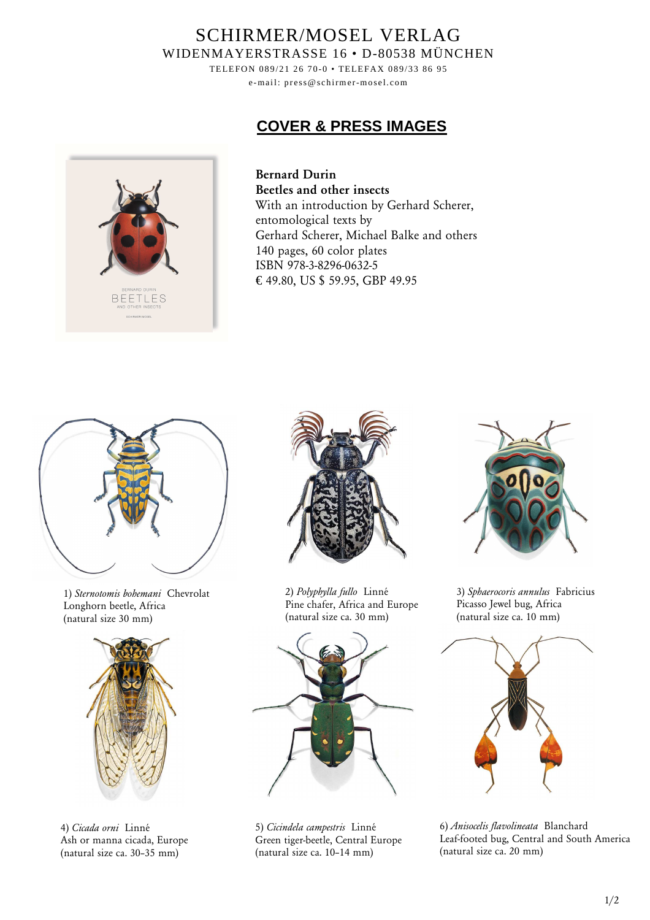## SCHIRMER/MOSEL VERLAG WIDENMAYERSTRASSE 16 • D-80538 MÜNCHEN

TELEFON 089/21 26 70-0 • TELEFAX 089/33 86 95 e-mail: press@schirmer-mosel.com

## **COVER & PRESS IMAGES**



**Bernard Durin Beetles and other insects** With an introduction by Gerhard Scherer, entomological texts by Gerhard Scherer, Michael Balke and others 140 pages, 60 color plates ISBN 978-3-8296-0632-5 € 49.80, US \$ 59.95, GBP 49.95



1) *Sternotomis bohemani* Chevrolat Longhorn beetle, Africa (natural size 30 mm)



4) *Cicada orni* Linné Ash or manna cicada, Europe (natural size ca. 30–35 mm)



2) *Polyphylla fullo* Linné Pine chafer, Africa and Europe (natural size ca. 30 mm)



5) *Cicindela campestris* Linné Green tiger-beetle, Central Europe (natural size ca. 10–14 mm)



3) *Sphaerocoris annulus* Fabricius Picasso Jewel bug, Africa (natural size ca. 10 mm)



6) *Anisocelis flavolineata* Blanchard Leaf-footed bug, Central and South America (natural size ca. 20 mm)